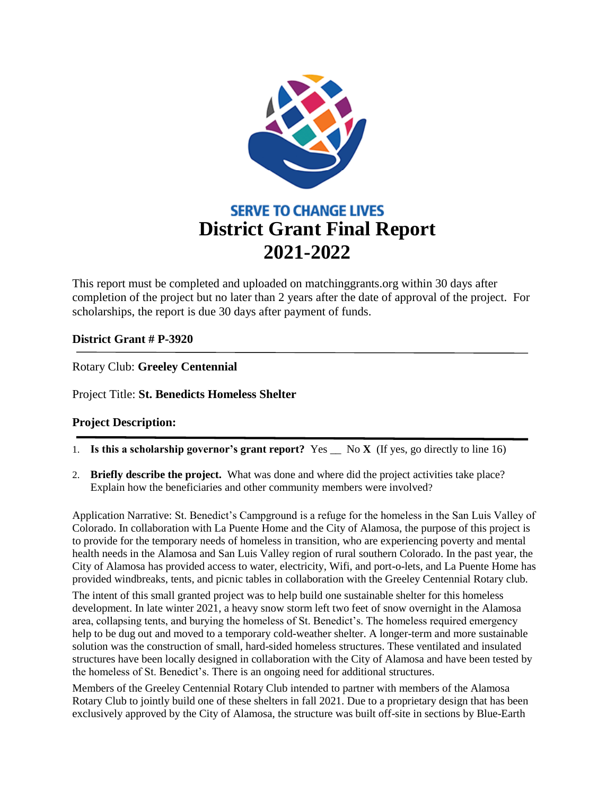

This report must be completed and uploaded on matchinggrants.org within 30 days after completion of the project but no later than 2 years after the date of approval of the project. For scholarships, the report is due 30 days after payment of funds.

## **District Grant # P-3920**

Rotary Club: **Greeley Centennial**

Project Title: **St. Benedicts Homeless Shelter**

## **Project Description:**

- 1. **Is this a scholarship governor's grant report?** Yes \_\_ No **X** (If yes, go directly to line 16)
- 2. **Briefly describe the project.** What was done and where did the project activities take place? Explain how the beneficiaries and other community members were involved?

Application Narrative: St. Benedict's Campground is a refuge for the homeless in the San Luis Valley of Colorado. In collaboration with La Puente Home and the City of Alamosa, the purpose of this project is to provide for the temporary needs of homeless in transition, who are experiencing poverty and mental health needs in the Alamosa and San Luis Valley region of rural southern Colorado. In the past year, the City of Alamosa has provided access to water, electricity, Wifi, and port-o-lets, and La Puente Home has provided windbreaks, tents, and picnic tables in collaboration with the Greeley Centennial Rotary club.

The intent of this small granted project was to help build one sustainable shelter for this homeless development. In late winter 2021, a heavy snow storm left two feet of snow overnight in the Alamosa area, collapsing tents, and burying the homeless of St. Benedict's. The homeless required emergency help to be dug out and moved to a temporary cold-weather shelter. A longer-term and more sustainable solution was the construction of small, hard-sided homeless structures. These ventilated and insulated structures have been locally designed in collaboration with the City of Alamosa and have been tested by the homeless of St. Benedict's. There is an ongoing need for additional structures.

Members of the Greeley Centennial Rotary Club intended to partner with members of the Alamosa Rotary Club to jointly build one of these shelters in fall 2021. Due to a proprietary design that has been exclusively approved by the City of Alamosa, the structure was built off-site in sections by Blue-Earth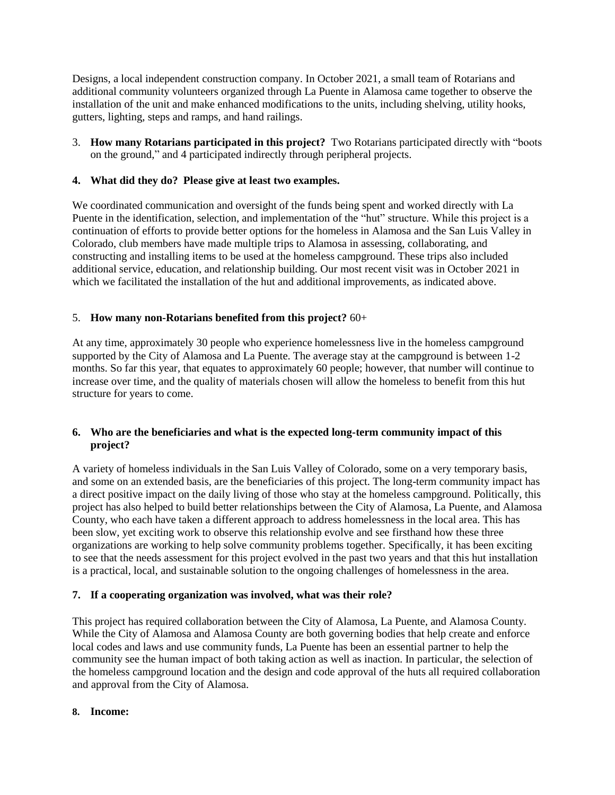Designs, a local independent construction company. In October 2021, a small team of Rotarians and additional community volunteers organized through La Puente in Alamosa came together to observe the installation of the unit and make enhanced modifications to the units, including shelving, utility hooks, gutters, lighting, steps and ramps, and hand railings.

3. **How many Rotarians participated in this project?** Two Rotarians participated directly with "boots on the ground," and 4 participated indirectly through peripheral projects.

## **4. What did they do? Please give at least two examples.**

We coordinated communication and oversight of the funds being spent and worked directly with La Puente in the identification, selection, and implementation of the "hut" structure. While this project is a continuation of efforts to provide better options for the homeless in Alamosa and the San Luis Valley in Colorado, club members have made multiple trips to Alamosa in assessing, collaborating, and constructing and installing items to be used at the homeless campground. These trips also included additional service, education, and relationship building. Our most recent visit was in October 2021 in which we facilitated the installation of the hut and additional improvements, as indicated above.

### 5. **How many non-Rotarians benefited from this project?** 60+

At any time, approximately 30 people who experience homelessness live in the homeless campground supported by the City of Alamosa and La Puente. The average stay at the campground is between 1-2 months. So far this year, that equates to approximately 60 people; however, that number will continue to increase over time, and the quality of materials chosen will allow the homeless to benefit from this hut structure for years to come.

#### **6. Who are the beneficiaries and what is the expected long-term community impact of this project?**

A variety of homeless individuals in the San Luis Valley of Colorado, some on a very temporary basis, and some on an extended basis, are the beneficiaries of this project. The long-term community impact has a direct positive impact on the daily living of those who stay at the homeless campground. Politically, this project has also helped to build better relationships between the City of Alamosa, La Puente, and Alamosa County, who each have taken a different approach to address homelessness in the local area. This has been slow, yet exciting work to observe this relationship evolve and see firsthand how these three organizations are working to help solve community problems together. Specifically, it has been exciting to see that the needs assessment for this project evolved in the past two years and that this hut installation is a practical, local, and sustainable solution to the ongoing challenges of homelessness in the area.

#### **7. If a cooperating organization was involved, what was their role?**

This project has required collaboration between the City of Alamosa, La Puente, and Alamosa County. While the City of Alamosa and Alamosa County are both governing bodies that help create and enforce local codes and laws and use community funds, La Puente has been an essential partner to help the community see the human impact of both taking action as well as inaction. In particular, the selection of the homeless campground location and the design and code approval of the huts all required collaboration and approval from the City of Alamosa.

#### **8. Income:**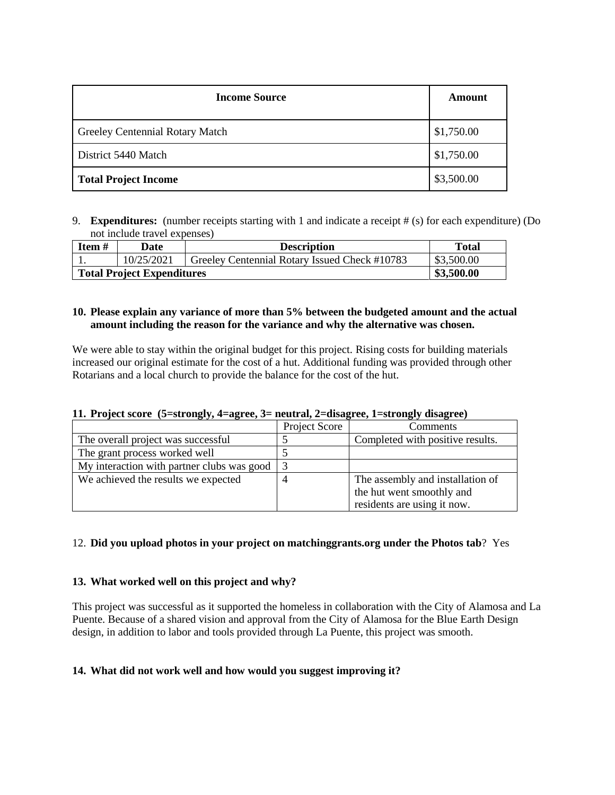| <b>Income Source</b>            | Amount     |
|---------------------------------|------------|
| Greeley Centennial Rotary Match | \$1,750.00 |
| District 5440 Match             | \$1,750.00 |
| <b>Total Project Income</b>     | \$3,500.00 |

9. **Expenditures:** (number receipts starting with 1 and indicate a receipt # (s) for each expenditure) (Do not include travel expenses)

| Item#                             | Date       | <b>Description</b>                            | <b>Total</b> |
|-----------------------------------|------------|-----------------------------------------------|--------------|
|                                   | 10/25/2021 | Greeley Centennial Rotary Issued Check #10783 | \$3,500.00   |
| <b>Total Project Expenditures</b> | \$3,500.00 |                                               |              |

#### **10. Please explain any variance of more than 5% between the budgeted amount and the actual amount including the reason for the variance and why the alternative was chosen.**

We were able to stay within the original budget for this project. Rising costs for building materials increased our original estimate for the cost of a hut. Additional funding was provided through other Rotarians and a local church to provide the balance for the cost of the hut.

| 11. Project score (5=strongly, 4=agree, 3= neutral, 2=disagree, 1=strongly disagree) |  |  |  |
|--------------------------------------------------------------------------------------|--|--|--|
|                                                                                      |  |  |  |

|                                            | Project Score | <b>Comments</b>                  |
|--------------------------------------------|---------------|----------------------------------|
| The overall project was successful         |               | Completed with positive results. |
| The grant process worked well              |               |                                  |
| My interaction with partner clubs was good | -3            |                                  |
| We achieved the results we expected        |               | The assembly and installation of |
|                                            |               | the hut went smoothly and        |
|                                            |               | residents are using it now.      |

## 12. **Did you upload photos in your project on matchinggrants.org under the Photos tab**? Yes

#### **13. What worked well on this project and why?**

This project was successful as it supported the homeless in collaboration with the City of Alamosa and La Puente. Because of a shared vision and approval from the City of Alamosa for the Blue Earth Design design, in addition to labor and tools provided through La Puente, this project was smooth.

#### **14. What did not work well and how would you suggest improving it?**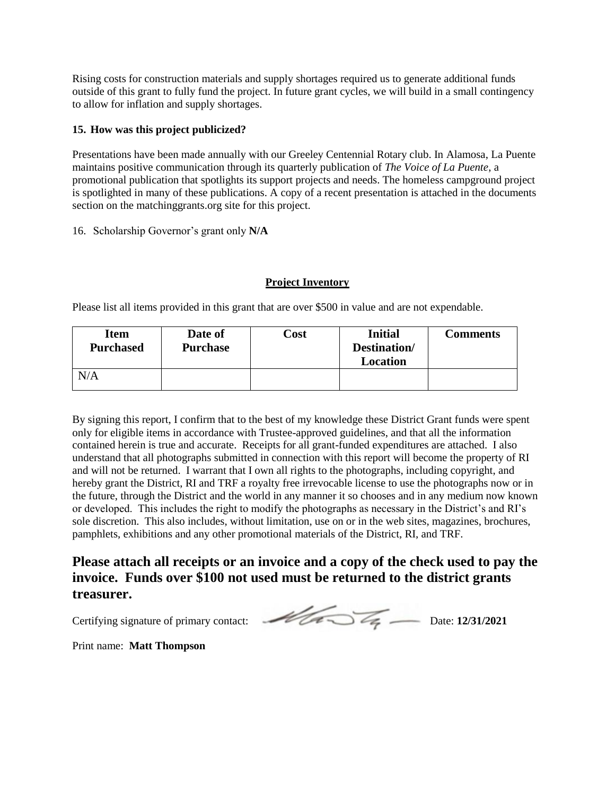Rising costs for construction materials and supply shortages required us to generate additional funds outside of this grant to fully fund the project. In future grant cycles, we will build in a small contingency to allow for inflation and supply shortages.

## **15. How was this project publicized?**

Presentations have been made annually with our Greeley Centennial Rotary club. In Alamosa, La Puente maintains positive communication through its quarterly publication of *The Voice of La Puente*, a promotional publication that spotlights its support projects and needs. The homeless campground project is spotlighted in many of these publications. A copy of a recent presentation is attached in the documents section on the matchinggrants.org site for this project.

16. Scholarship Governor's grant only **N/A**

## **Project Inventory**

Please list all items provided in this grant that are over \$500 in value and are not expendable.

| <b>Item</b><br><b>Purchased</b> | Date of<br><b>Purchase</b> | $\cosh$ | <b>Initial</b><br>Destination/<br>Location | <b>Comments</b> |
|---------------------------------|----------------------------|---------|--------------------------------------------|-----------------|
| N/A                             |                            |         |                                            |                 |

By signing this report, I confirm that to the best of my knowledge these District Grant funds were spent only for eligible items in accordance with Trustee-approved guidelines, and that all the information contained herein is true and accurate. Receipts for all grant-funded expenditures are attached. I also understand that all photographs submitted in connection with this report will become the property of RI and will not be returned. I warrant that I own all rights to the photographs, including copyright, and hereby grant the District, RI and TRF a royalty free irrevocable license to use the photographs now or in the future, through the District and the world in any manner it so chooses and in any medium now known or developed. This includes the right to modify the photographs as necessary in the District's and RI's sole discretion. This also includes, without limitation, use on or in the web sites, magazines, brochures, pamphlets, exhibitions and any other promotional materials of the District, RI, and TRF.

# **Please attach all receipts or an invoice and a copy of the check used to pay the invoice. Funds over \$100 not used must be returned to the district grants treasurer.**

Certifying signature of primary contact: Detail 2/31/2021

Print name: **Matt Thompson**